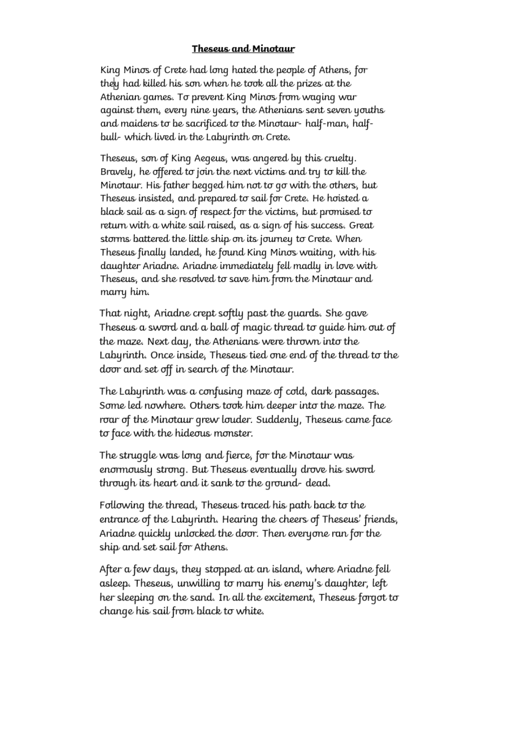## Theseus and Minotaur

King Minos of Crete had long hated the people of Athens, for they had killed his son when he took all the prizes at the Athenian games. To prevent King Minos from waging war against them, every nine years, the Athenians sent seven youths and maidens to be sacrificed to the Minotaur- half-man, halfbull-which lived in the Labyrinth on Crete.

Theseus, son of King Aegeus, was angered by this cruelty. Bravely, he offered to join the next victims and try to kill the Minotaur. His father begged him not to go with the others, but Theseus insisted, and prepared to sail for Crete. He hoisted a black sail as a sign of respect for the victims, but promised to return with a white sail raised, as a sign of his success. Great storms battered the little ship on its journey to Crete. When Theseus finally landed, he found King Minos waiting, with his daughter Ariadne. Ariadne immediately fell madly in love with Theseus, and she resolved to save him from the Minotaur and marry him.

That night, Ariadne crept softly past the quards. She gave Theseus a sword and a ball of magic thread to guide him out of the maze. Next day, the Athenians were thrown into the Labyrinth. Once inside, Theseus tied one end of the thread to the door and set off in search of the Minotaur.

The Labyrinth was a confusing maze of cold, dark passages. Some led nowhere. Others took him deeper into the maze. The roar of the Minotaur grew louder. Suddenly, Theseus came face to face with the hideous monster.

The struggle was long and fierce, for the Minotaur was enormously strong. But Theseus eventually drove his sword through its heart and it sank to the ground- dead.

Following the thread, Theseus traced his path back to the entrance of the Labyrinth. Hearing the cheers of Theseus' friends, Ariadne quickly unlocked the door. Then everyone ran for the ship and set sail for Athens.

After a few days, they stopped at an island, where Ariadne fell asleep. Theseus, unwilling to marry his enemy's daughter, left her sleeping on the sand. In all the excitement, Theseus forgot to change his sail from black to white.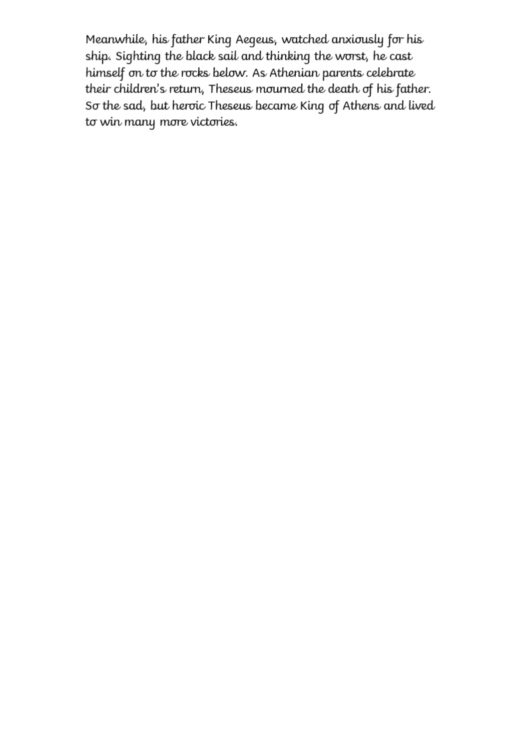Meanwhile, his father King Aegeus, watched anxiously for his ship. Sighting the black sail and thinking the worst, he cast himself on to the rocks below. As Athenian parents celebrate their children's return, Theseus mourned the death of his father. So the sad, but heroic Theseus became King of Athens and lived to win many more victories.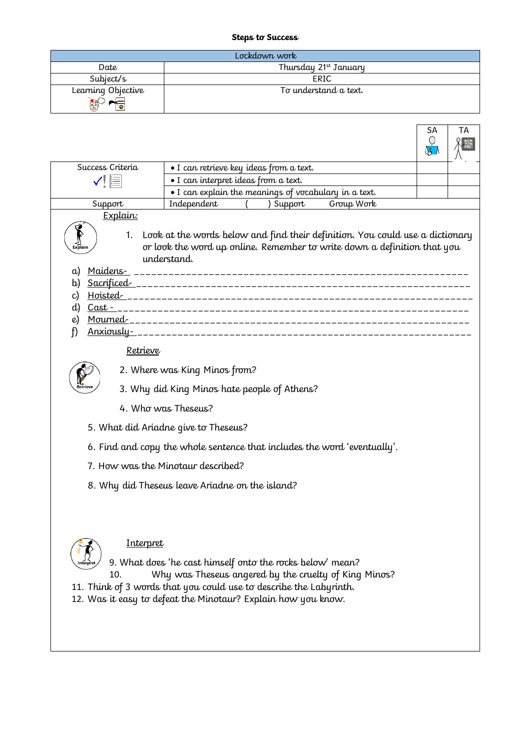## **Steps to Success**

| Lockdown work      |                       |  |  |
|--------------------|-----------------------|--|--|
| Date               | Thursday 21st January |  |  |
| Subject/s          | ERIC                  |  |  |
| Learning Objective | To understand a text. |  |  |
| $\sum_{i=1}^{n}$   |                       |  |  |

|                                                                          |                         |                                                                                                                                                                                                                                                           | <b>SA</b> | TΑ |
|--------------------------------------------------------------------------|-------------------------|-----------------------------------------------------------------------------------------------------------------------------------------------------------------------------------------------------------------------------------------------------------|-----------|----|
| Success Criteria                                                         |                         | • I can retrieve key ideas from a text.                                                                                                                                                                                                                   |           |    |
| ✓╹╞╛                                                                     |                         | · I can interpret ideas from a text.                                                                                                                                                                                                                      |           |    |
|                                                                          |                         | • I can explain the meanings of vocabulary in a text.                                                                                                                                                                                                     |           |    |
| Support                                                                  |                         | Independent<br>Group Work<br>) Support                                                                                                                                                                                                                    |           |    |
|                                                                          | Explain:<br>1.          | Look at the words below and find their definition. You could use a dictionary<br>or look the word up online. Remember to write down a definition that you<br>understand.                                                                                  |           |    |
| a)                                                                       |                         |                                                                                                                                                                                                                                                           |           |    |
| b)                                                                       |                         |                                                                                                                                                                                                                                                           |           |    |
| C)<br>d)<br>$Cast -$                                                     |                         |                                                                                                                                                                                                                                                           |           |    |
| e)                                                                       |                         |                                                                                                                                                                                                                                                           |           |    |
| Anxiously-<br>t)                                                         |                         |                                                                                                                                                                                                                                                           |           |    |
|                                                                          | Retrieve                |                                                                                                                                                                                                                                                           |           |    |
| 2. Where was King Minos from?                                            |                         |                                                                                                                                                                                                                                                           |           |    |
| Retriev                                                                  |                         | 3. Why did King Minos hate people of Athens?                                                                                                                                                                                                              |           |    |
|                                                                          |                         | 4. Who was Theseus?                                                                                                                                                                                                                                       |           |    |
| 5. What did Ariadne give to Theseus?                                     |                         |                                                                                                                                                                                                                                                           |           |    |
| 6. Find and copy the whole sentence that includes the word 'eventually'. |                         |                                                                                                                                                                                                                                                           |           |    |
|                                                                          |                         | 7. How was the Minotaur described?                                                                                                                                                                                                                        |           |    |
| 8. Why did Theseus leave Ariadne on the island?                          |                         |                                                                                                                                                                                                                                                           |           |    |
|                                                                          | <b>Interpret</b><br>10. | 9. What does 'he cast himself onto the rocks below' mean?<br>Why was Theseus angered by the cruelty of King Minos?<br>11. Think of 3 words that you could use to describe the Labyrinth.<br>12. Was it easy to defeat the Minotaur? Explain how you know. |           |    |